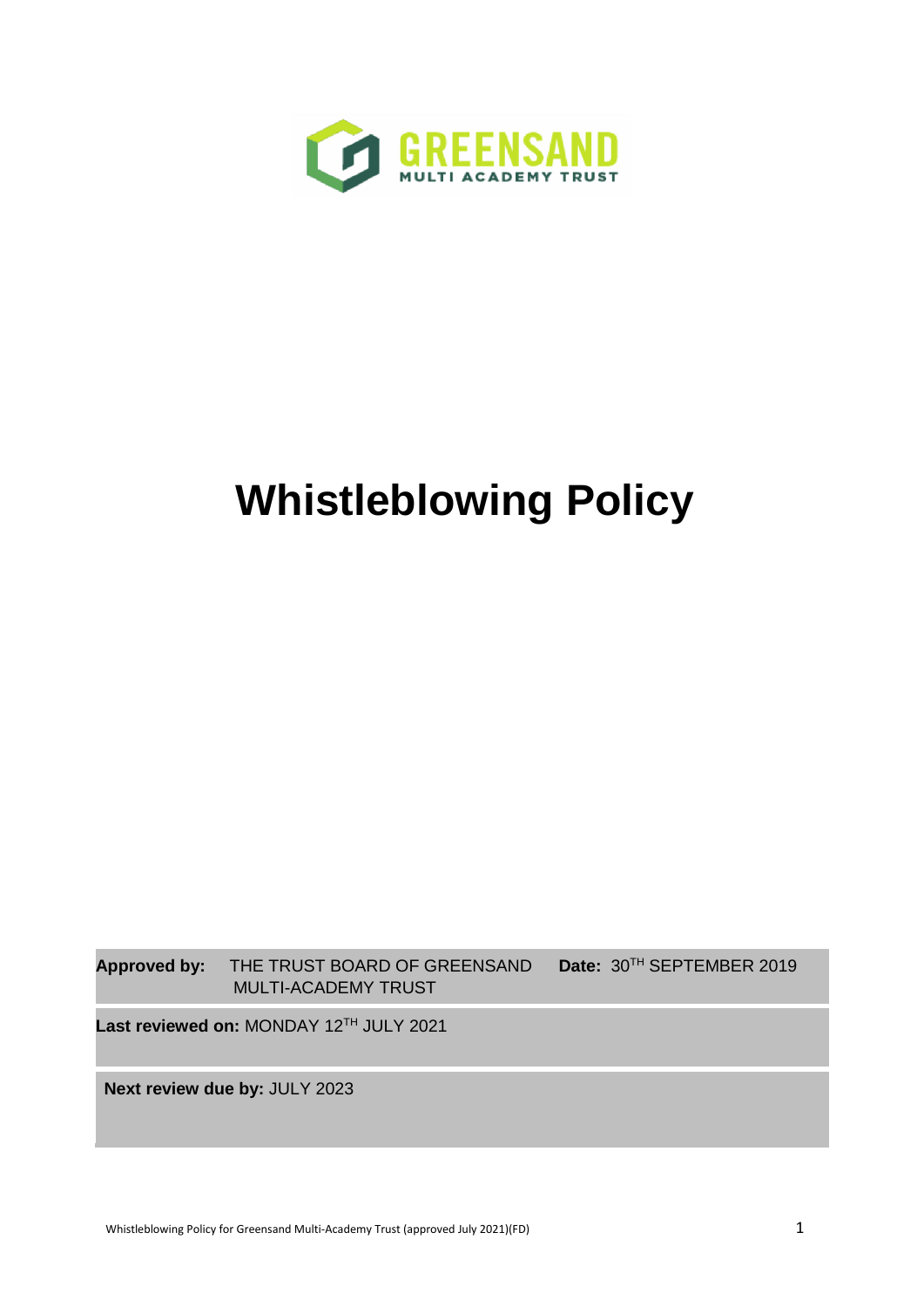

# **Whistleblowing Policy**

**Approved by:** THE TRUST BOARD OF GREENSAND **Date:** 30TH SEPTEMBER 2019 MULTI-ACADEMY TRUST

Last reviewed on: MONDAY 12<sup>TH</sup> JULY 2021

**Next review due by:** JULY 2023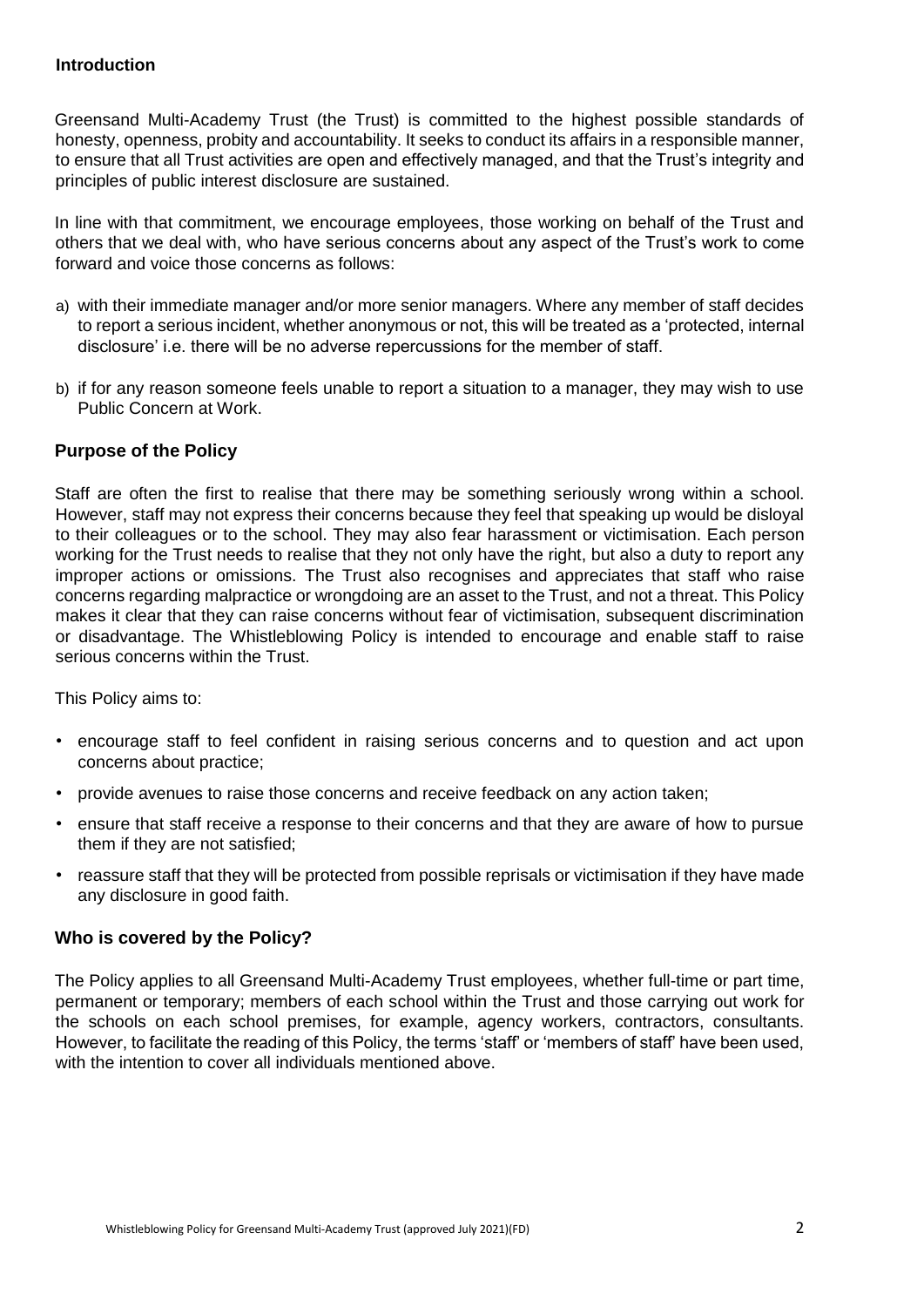## **Introduction**

Greensand Multi-Academy Trust (the Trust) is committed to the highest possible standards of honesty, openness, probity and accountability. It seeks to conduct its affairs in a responsible manner, to ensure that all Trust activities are open and effectively managed, and that the Trust's integrity and principles of public interest disclosure are sustained.

In line with that commitment, we encourage employees, those working on behalf of the Trust and others that we deal with, who have serious concerns about any aspect of the Trust's work to come forward and voice those concerns as follows:

- a) with their immediate manager and/or more senior managers. Where any member of staff decides to report a serious incident, whether anonymous or not, this will be treated as a 'protected, internal disclosure' i.e. there will be no adverse repercussions for the member of staff.
- b) if for any reason someone feels unable to report a situation to a manager, they may wish to use Public Concern at Work.

# **Purpose of the Policy**

Staff are often the first to realise that there may be something seriously wrong within a school. However, staff may not express their concerns because they feel that speaking up would be disloyal to their colleagues or to the school. They may also fear harassment or victimisation. Each person working for the Trust needs to realise that they not only have the right, but also a duty to report any improper actions or omissions. The Trust also recognises and appreciates that staff who raise concerns regarding malpractice or wrongdoing are an asset to the Trust, and not a threat. This Policy makes it clear that they can raise concerns without fear of victimisation, subsequent discrimination or disadvantage. The Whistleblowing Policy is intended to encourage and enable staff to raise serious concerns within the Trust.

This Policy aims to:

- encourage staff to feel confident in raising serious concerns and to question and act upon concerns about practice;
- provide avenues to raise those concerns and receive feedback on any action taken;
- ensure that staff receive a response to their concerns and that they are aware of how to pursue them if they are not satisfied;
- reassure staff that they will be protected from possible reprisals or victimisation if they have made any disclosure in good faith.

## **Who is covered by the Policy?**

The Policy applies to all Greensand Multi-Academy Trust employees, whether full-time or part time, permanent or temporary; members of each school within the Trust and those carrying out work for the schools on each school premises, for example, agency workers, contractors, consultants. However, to facilitate the reading of this Policy, the terms 'staff' or 'members of staff' have been used, with the intention to cover all individuals mentioned above.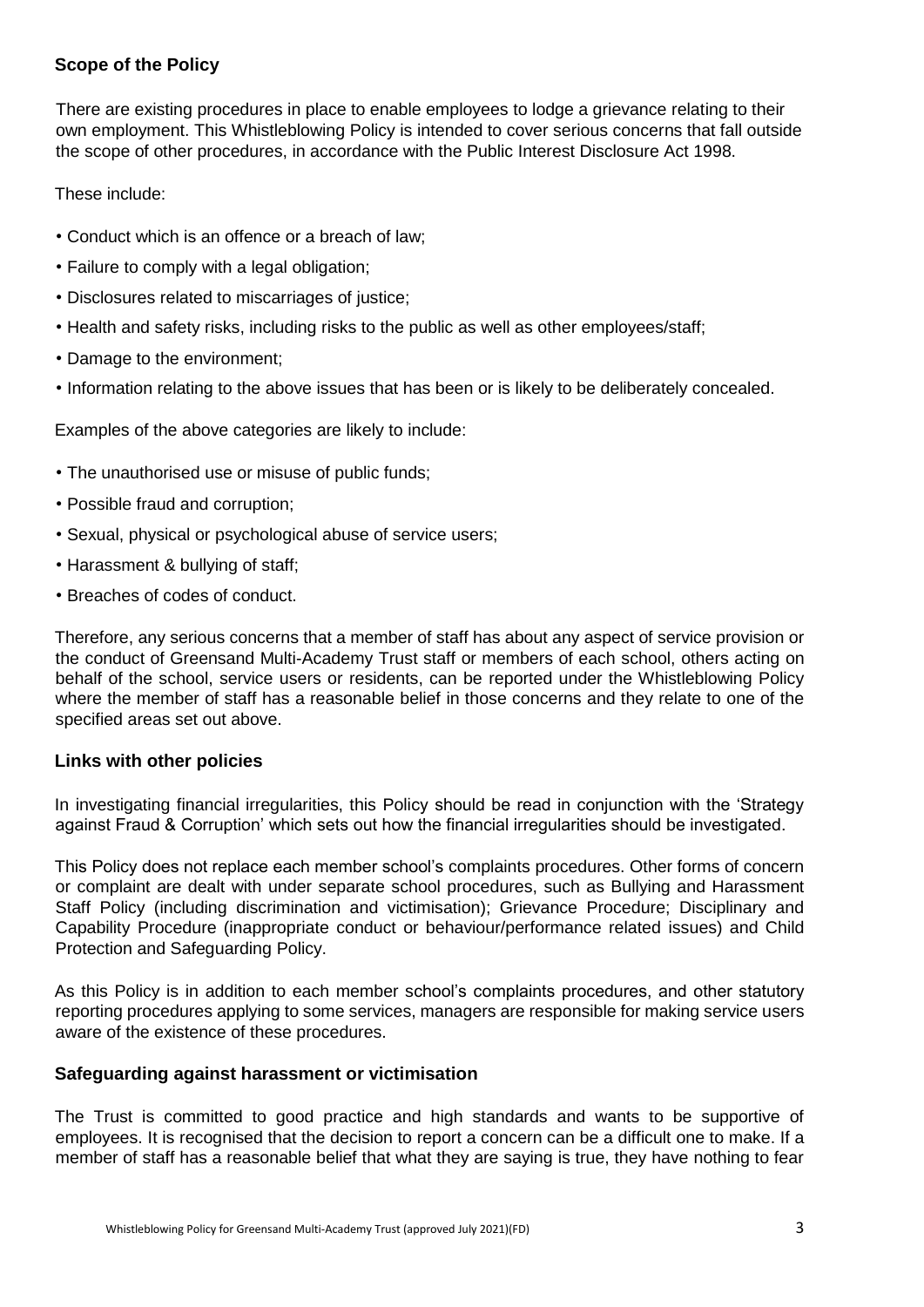# **Scope of the Policy**

There are existing procedures in place to enable employees to lodge a grievance relating to their own employment. This Whistleblowing Policy is intended to cover serious concerns that fall outside the scope of other procedures, in accordance with the Public Interest Disclosure Act 1998.

These include:

- Conduct which is an offence or a breach of law;
- Failure to comply with a legal obligation;
- Disclosures related to miscarriages of justice;
- Health and safety risks, including risks to the public as well as other employees/staff;
- Damage to the environment;
- Information relating to the above issues that has been or is likely to be deliberately concealed.

Examples of the above categories are likely to include:

- The unauthorised use or misuse of public funds;
- Possible fraud and corruption;
- Sexual, physical or psychological abuse of service users;
- Harassment & bullying of staff;
- Breaches of codes of conduct.

Therefore, any serious concerns that a member of staff has about any aspect of service provision or the conduct of Greensand Multi-Academy Trust staff or members of each school, others acting on behalf of the school, service users or residents, can be reported under the Whistleblowing Policy where the member of staff has a reasonable belief in those concerns and they relate to one of the specified areas set out above.

## **Links with other policies**

In investigating financial irregularities, this Policy should be read in conjunction with the 'Strategy against Fraud & Corruption' which sets out how the financial irregularities should be investigated.

This Policy does not replace each member school's complaints procedures. Other forms of concern or complaint are dealt with under separate school procedures, such as Bullying and Harassment Staff Policy (including discrimination and victimisation); Grievance Procedure; Disciplinary and Capability Procedure (inappropriate conduct or behaviour/performance related issues) and Child Protection and Safeguarding Policy.

As this Policy is in addition to each member school's complaints procedures, and other statutory reporting procedures applying to some services, managers are responsible for making service users aware of the existence of these procedures.

## **Safeguarding against harassment or victimisation**

The Trust is committed to good practice and high standards and wants to be supportive of employees. It is recognised that the decision to report a concern can be a difficult one to make. If a member of staff has a reasonable belief that what they are saying is true, they have nothing to fear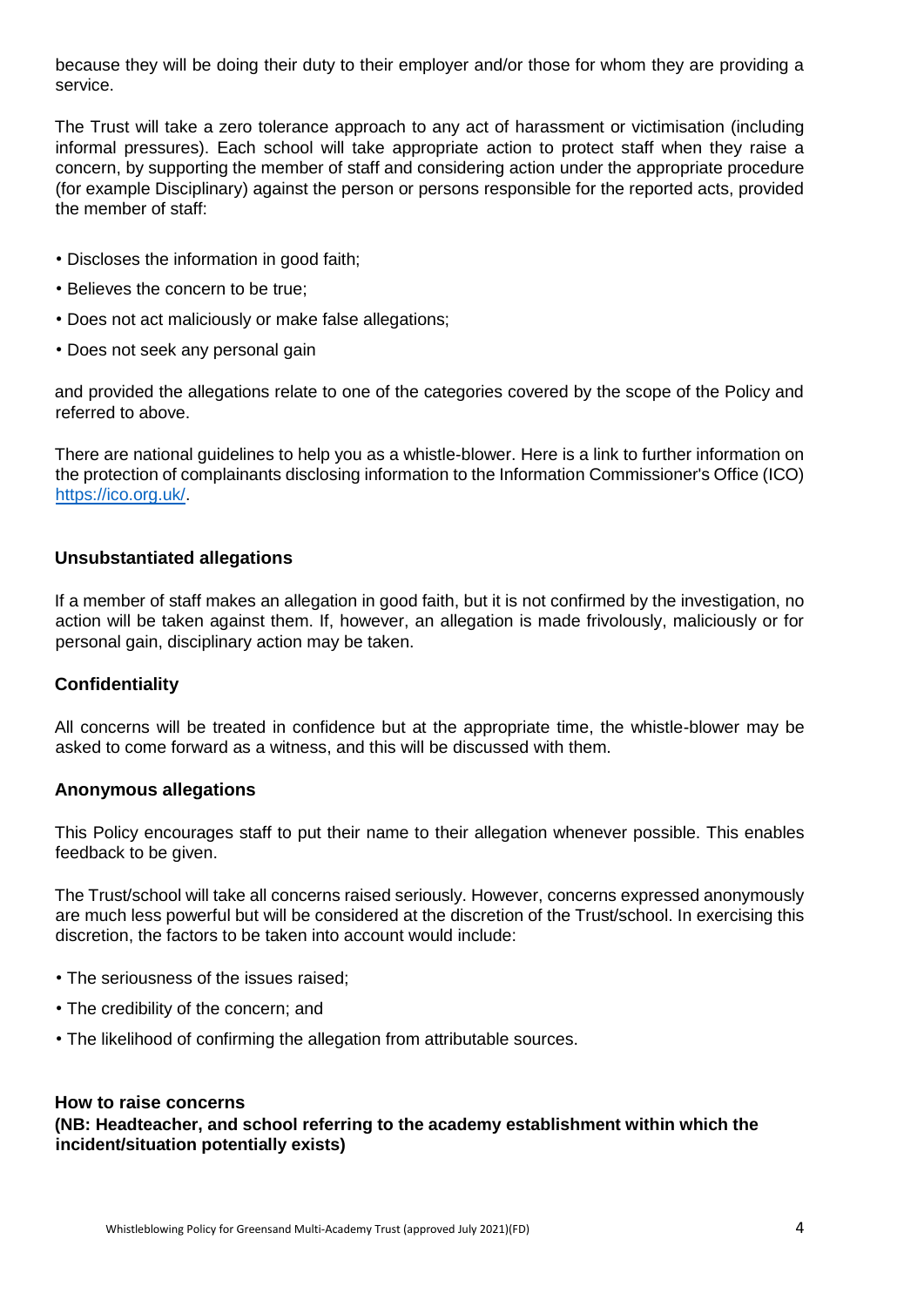because they will be doing their duty to their employer and/or those for whom they are providing a service.

The Trust will take a zero tolerance approach to any act of harassment or victimisation (including informal pressures). Each school will take appropriate action to protect staff when they raise a concern, by supporting the member of staff and considering action under the appropriate procedure (for example Disciplinary) against the person or persons responsible for the reported acts, provided the member of staff:

- Discloses the information in good faith;
- Believes the concern to be true;
- Does not act maliciously or make false allegations;
- Does not seek any personal gain

and provided the allegations relate to one of the categories covered by the scope of the Policy and referred to above.

There are national guidelines to help you as a whistle-blower. Here is a link to further information on the protection of complainants disclosing information to the Information Commissioner's Office (ICO) [https://ico.org.uk/.](https://ico.org.uk/)

#### **Unsubstantiated allegations**

If a member of staff makes an allegation in good faith, but it is not confirmed by the investigation, no action will be taken against them. If, however, an allegation is made frivolously, maliciously or for personal gain, disciplinary action may be taken.

#### **Confidentiality**

All concerns will be treated in confidence but at the appropriate time, the whistle-blower may be asked to come forward as a witness, and this will be discussed with them.

#### **Anonymous allegations**

This Policy encourages staff to put their name to their allegation whenever possible. This enables feedback to be given.

The Trust/school will take all concerns raised seriously. However, concerns expressed anonymously are much less powerful but will be considered at the discretion of the Trust/school. In exercising this discretion, the factors to be taken into account would include:

- The seriousness of the issues raised;
- The credibility of the concern; and
- The likelihood of confirming the allegation from attributable sources.

#### **How to raise concerns**

**(NB: Headteacher, and school referring to the academy establishment within which the incident/situation potentially exists)**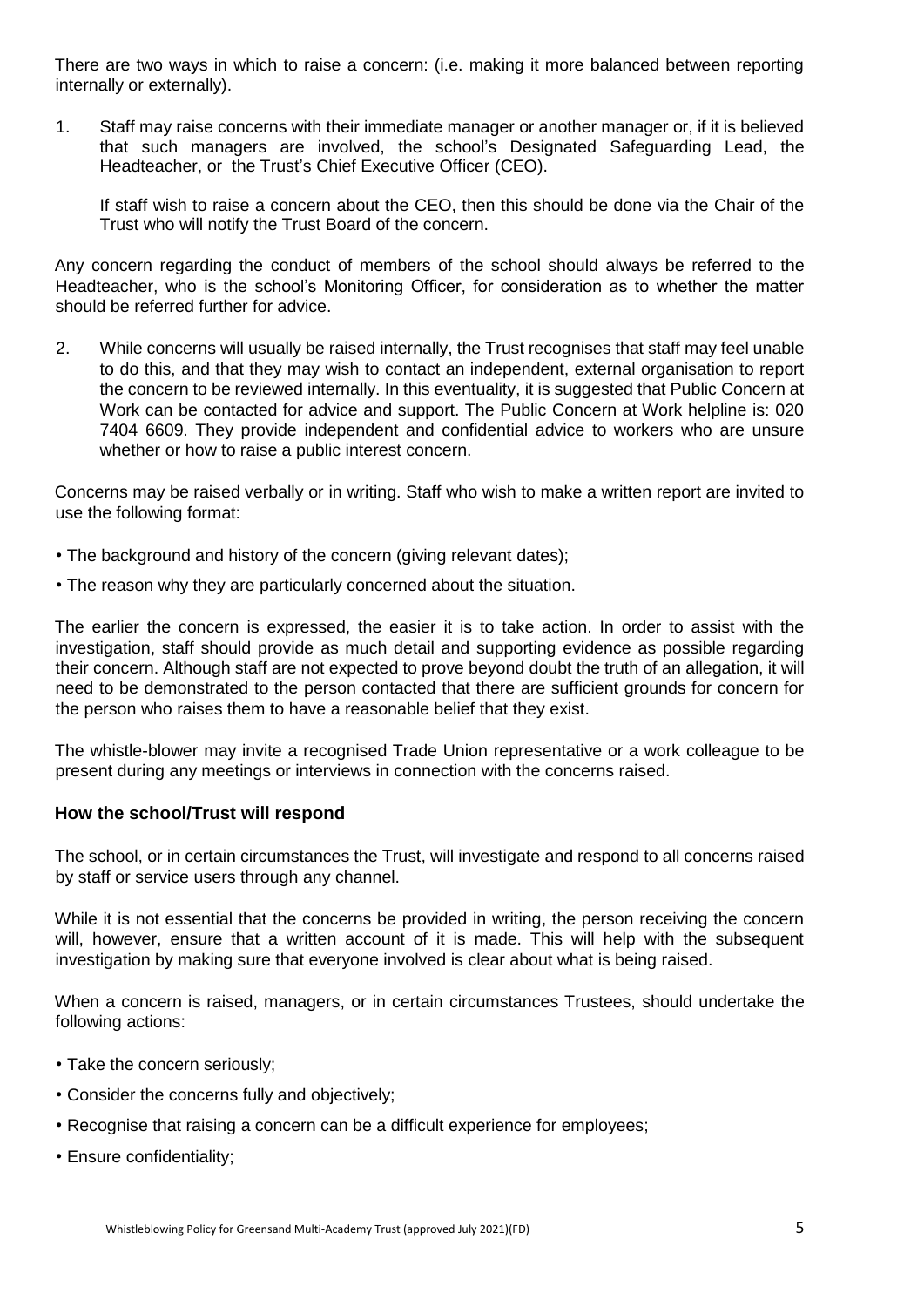There are two ways in which to raise a concern: (i.e. making it more balanced between reporting internally or externally).

1. Staff may raise concerns with their immediate manager or another manager or, if it is believed that such managers are involved, the school's Designated Safeguarding Lead, the Headteacher, or the Trust's Chief Executive Officer (CEO).

If staff wish to raise a concern about the CEO, then this should be done via the Chair of the Trust who will notify the Trust Board of the concern.

Any concern regarding the conduct of members of the school should always be referred to the Headteacher, who is the school's Monitoring Officer, for consideration as to whether the matter should be referred further for advice.

2. While concerns will usually be raised internally, the Trust recognises that staff may feel unable to do this, and that they may wish to contact an independent, external organisation to report the concern to be reviewed internally. In this eventuality, it is suggested that Public Concern at Work can be contacted for advice and support. The Public Concern at Work helpline is: 020 7404 6609. They provide independent and confidential advice to workers who are unsure whether or how to raise a public interest concern.

Concerns may be raised verbally or in writing. Staff who wish to make a written report are invited to use the following format:

- The background and history of the concern (giving relevant dates):
- The reason why they are particularly concerned about the situation.

The earlier the concern is expressed, the easier it is to take action. In order to assist with the investigation, staff should provide as much detail and supporting evidence as possible regarding their concern. Although staff are not expected to prove beyond doubt the truth of an allegation, it will need to be demonstrated to the person contacted that there are sufficient grounds for concern for the person who raises them to have a reasonable belief that they exist.

The whistle-blower may invite a recognised Trade Union representative or a work colleague to be present during any meetings or interviews in connection with the concerns raised.

#### **How the school/Trust will respond**

The school, or in certain circumstances the Trust, will investigate and respond to all concerns raised by staff or service users through any channel.

While it is not essential that the concerns be provided in writing, the person receiving the concern will, however, ensure that a written account of it is made. This will help with the subsequent investigation by making sure that everyone involved is clear about what is being raised.

When a concern is raised, managers, or in certain circumstances Trustees, should undertake the following actions:

- Take the concern seriously;
- Consider the concerns fully and objectively;
- Recognise that raising a concern can be a difficult experience for employees;
- Ensure confidentiality;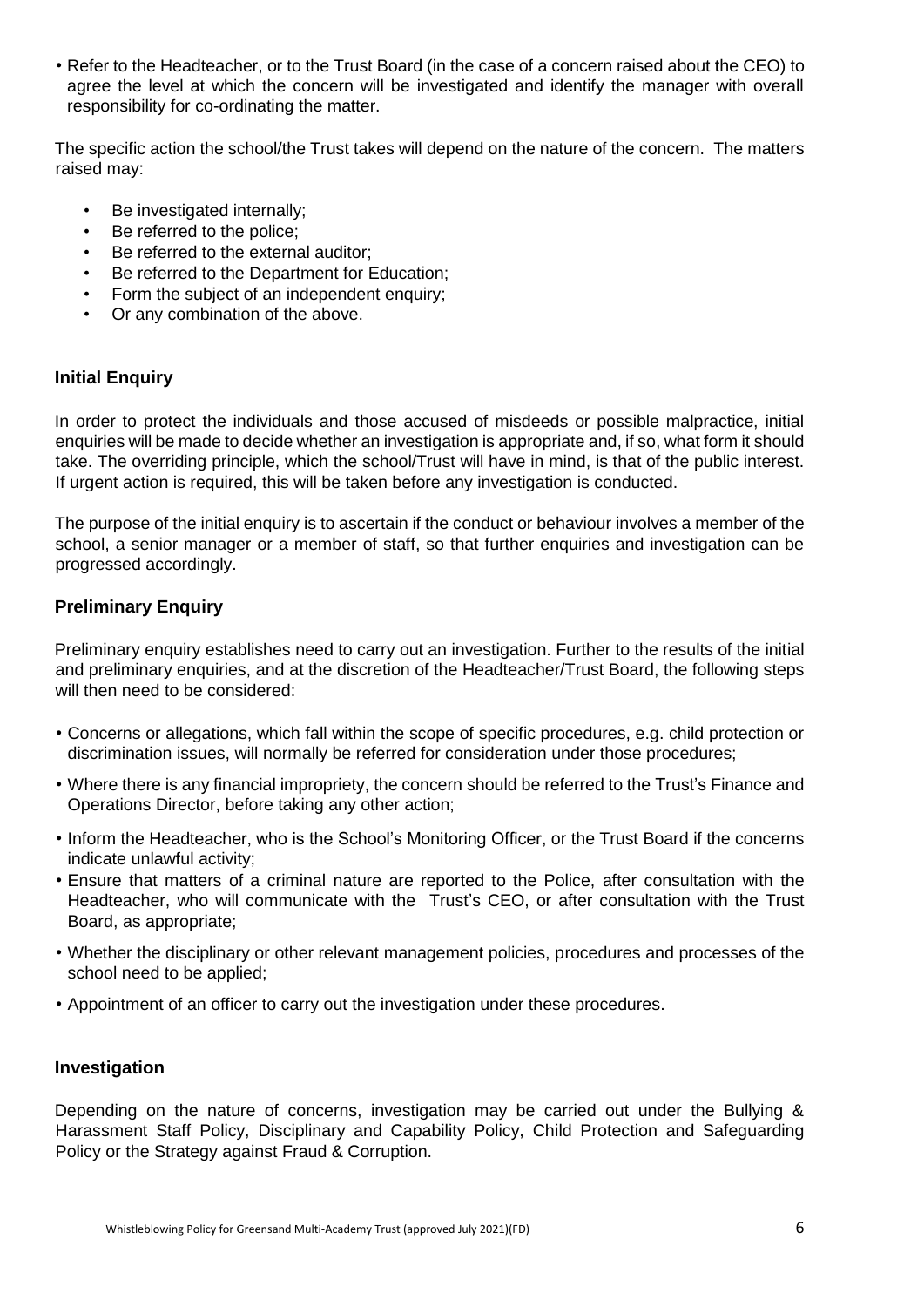• Refer to the Headteacher, or to the Trust Board (in the case of a concern raised about the CEO) to agree the level at which the concern will be investigated and identify the manager with overall responsibility for co-ordinating the matter.

The specific action the school/the Trust takes will depend on the nature of the concern. The matters raised may:

- Be investigated internally;
- Be referred to the police:
- Be referred to the external auditor:
- Be referred to the Department for Education;
- Form the subject of an independent enquiry;
- Or any combination of the above.

## **Initial Enquiry**

In order to protect the individuals and those accused of misdeeds or possible malpractice, initial enquiries will be made to decide whether an investigation is appropriate and, if so, what form it should take. The overriding principle, which the school/Trust will have in mind, is that of the public interest. If urgent action is required, this will be taken before any investigation is conducted.

The purpose of the initial enquiry is to ascertain if the conduct or behaviour involves a member of the school, a senior manager or a member of staff, so that further enquiries and investigation can be progressed accordingly.

## **Preliminary Enquiry**

Preliminary enquiry establishes need to carry out an investigation. Further to the results of the initial and preliminary enquiries, and at the discretion of the Headteacher/Trust Board, the following steps will then need to be considered:

- Concerns or allegations, which fall within the scope of specific procedures, e.g. child protection or discrimination issues, will normally be referred for consideration under those procedures;
- Where there is any financial impropriety, the concern should be referred to the Trust's Finance and Operations Director, before taking any other action;
- Inform the Headteacher, who is the School's Monitoring Officer, or the Trust Board if the concerns indicate unlawful activity;
- Ensure that matters of a criminal nature are reported to the Police, after consultation with the Headteacher, who will communicate with the Trust's CEO, or after consultation with the Trust Board, as appropriate;
- Whether the disciplinary or other relevant management policies, procedures and processes of the school need to be applied;
- Appointment of an officer to carry out the investigation under these procedures.

## **Investigation**

Depending on the nature of concerns, investigation may be carried out under the Bullying & Harassment Staff Policy, Disciplinary and Capability Policy, Child Protection and Safeguarding Policy or the Strategy against Fraud & Corruption.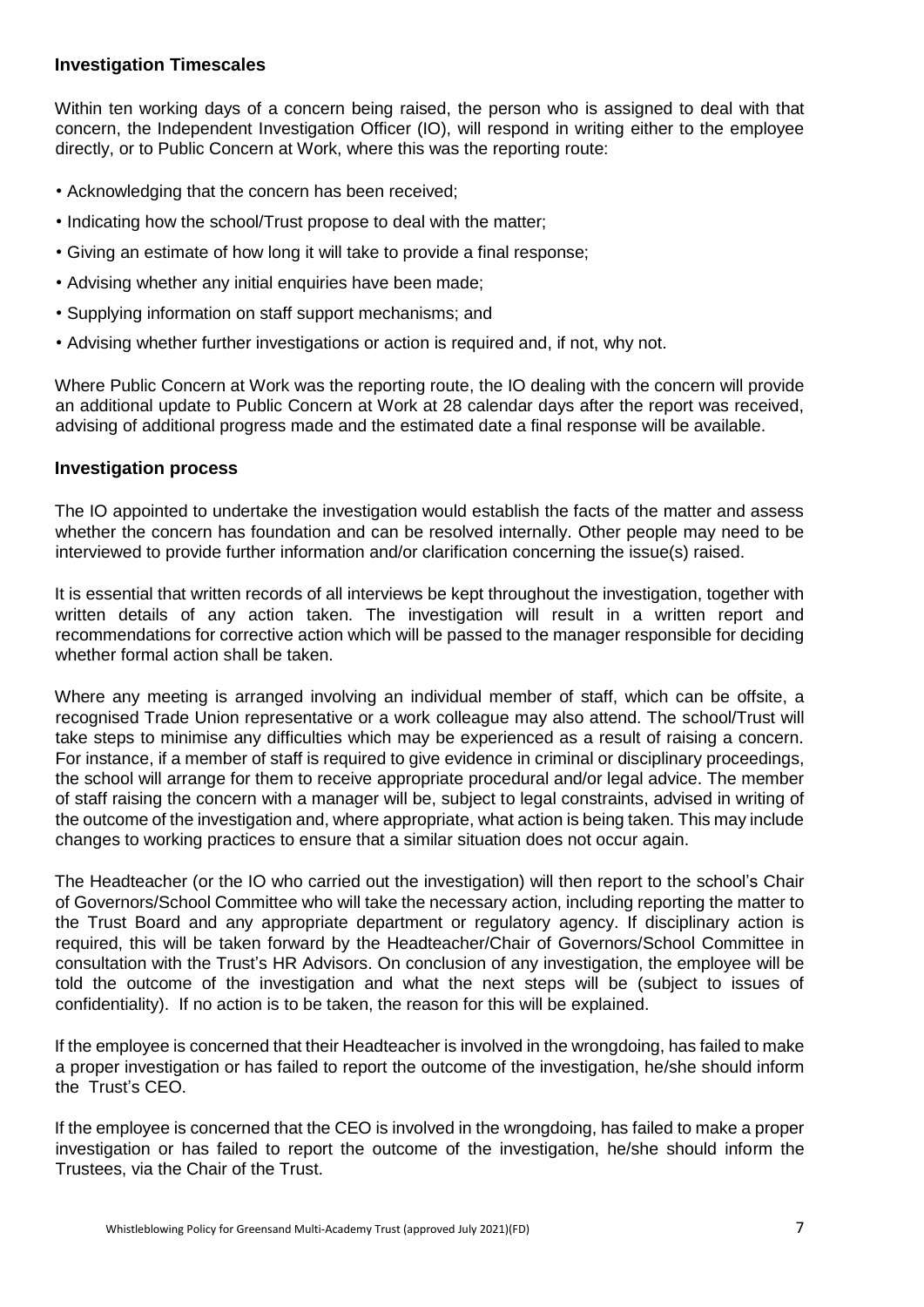## **Investigation Timescales**

Within ten working days of a concern being raised, the person who is assigned to deal with that concern, the Independent Investigation Officer (IO), will respond in writing either to the employee directly, or to Public Concern at Work, where this was the reporting route:

- Acknowledging that the concern has been received;
- Indicating how the school/Trust propose to deal with the matter;
- Giving an estimate of how long it will take to provide a final response;
- Advising whether any initial enquiries have been made;
- Supplying information on staff support mechanisms; and
- Advising whether further investigations or action is required and, if not, why not.

Where Public Concern at Work was the reporting route, the IO dealing with the concern will provide an additional update to Public Concern at Work at 28 calendar days after the report was received, advising of additional progress made and the estimated date a final response will be available.

#### **Investigation process**

The IO appointed to undertake the investigation would establish the facts of the matter and assess whether the concern has foundation and can be resolved internally. Other people may need to be interviewed to provide further information and/or clarification concerning the issue(s) raised.

It is essential that written records of all interviews be kept throughout the investigation, together with written details of any action taken. The investigation will result in a written report and recommendations for corrective action which will be passed to the manager responsible for deciding whether formal action shall be taken.

Where any meeting is arranged involving an individual member of staff, which can be offsite, a recognised Trade Union representative or a work colleague may also attend. The school/Trust will take steps to minimise any difficulties which may be experienced as a result of raising a concern. For instance, if a member of staff is required to give evidence in criminal or disciplinary proceedings, the school will arrange for them to receive appropriate procedural and/or legal advice. The member of staff raising the concern with a manager will be, subject to legal constraints, advised in writing of the outcome of the investigation and, where appropriate, what action is being taken. This may include changes to working practices to ensure that a similar situation does not occur again.

The Headteacher (or the IO who carried out the investigation) will then report to the school's Chair of Governors/School Committee who will take the necessary action, including reporting the matter to the Trust Board and any appropriate department or regulatory agency. If disciplinary action is required, this will be taken forward by the Headteacher/Chair of Governors/School Committee in consultation with the Trust's HR Advisors. On conclusion of any investigation, the employee will be told the outcome of the investigation and what the next steps will be (subject to issues of confidentiality). If no action is to be taken, the reason for this will be explained.

If the employee is concerned that their Headteacher is involved in the wrongdoing, has failed to make a proper investigation or has failed to report the outcome of the investigation, he/she should inform the Trust's CEO.

If the employee is concerned that the CEO is involved in the wrongdoing, has failed to make a proper investigation or has failed to report the outcome of the investigation, he/she should inform the Trustees, via the Chair of the Trust.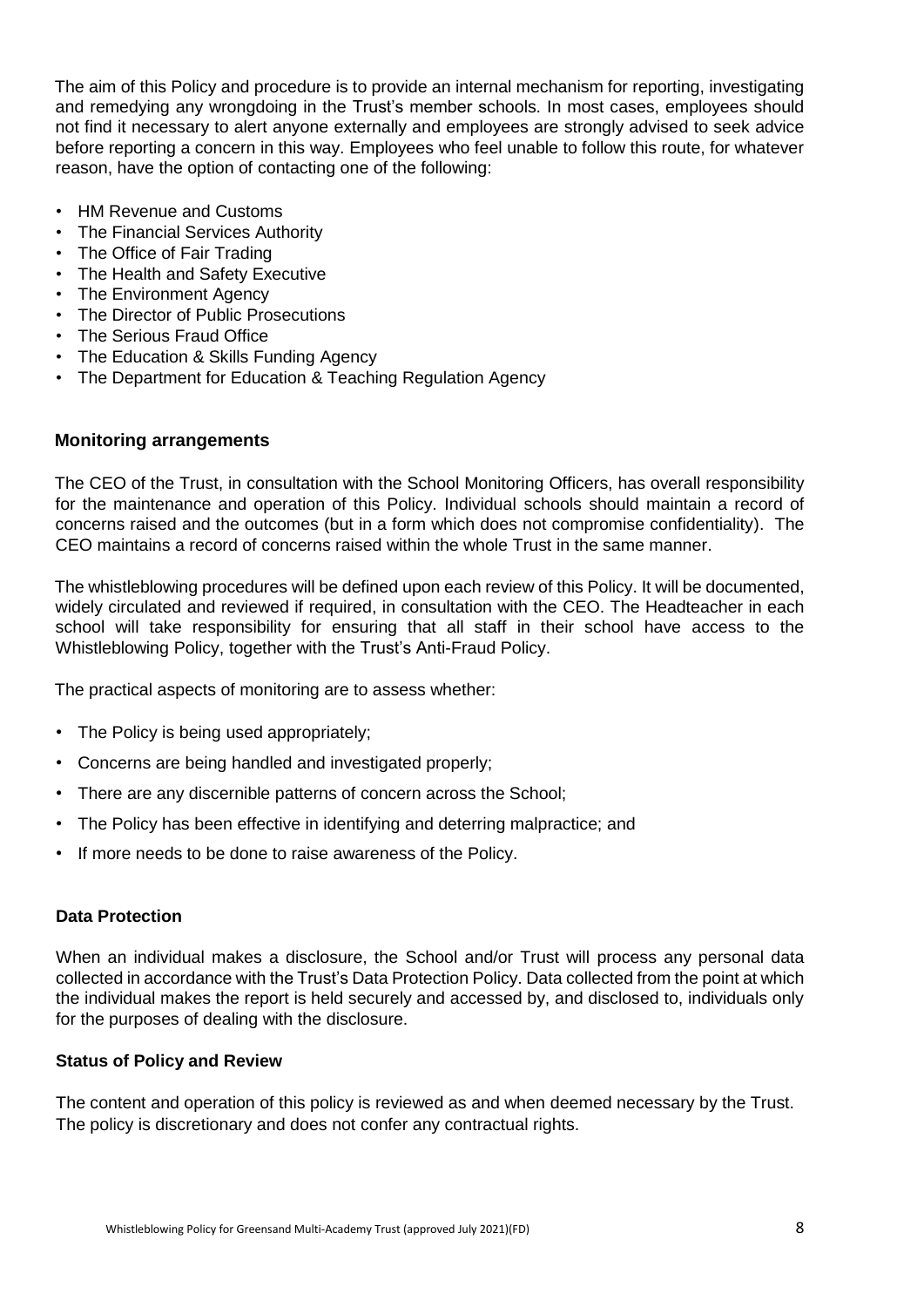The aim of this Policy and procedure is to provide an internal mechanism for reporting, investigating and remedying any wrongdoing in the Trust's member schools. In most cases, employees should not find it necessary to alert anyone externally and employees are strongly advised to seek advice before reporting a concern in this way. Employees who feel unable to follow this route, for whatever reason, have the option of contacting one of the following:

- HM Revenue and Customs
- The Financial Services Authority
- The Office of Fair Trading
- The Health and Safety Executive
- The Environment Agency
- The Director of Public Prosecutions
- The Serious Fraud Office
- The Education & Skills Funding Agency
- The Department for Education & Teaching Regulation Agency

#### **Monitoring arrangements**

The CEO of the Trust, in consultation with the School Monitoring Officers, has overall responsibility for the maintenance and operation of this Policy. Individual schools should maintain a record of concerns raised and the outcomes (but in a form which does not compromise confidentiality). The CEO maintains a record of concerns raised within the whole Trust in the same manner.

The whistleblowing procedures will be defined upon each review of this Policy. It will be documented, widely circulated and reviewed if required, in consultation with the CEO. The Headteacher in each school will take responsibility for ensuring that all staff in their school have access to the Whistleblowing Policy, together with the Trust's Anti-Fraud Policy.

The practical aspects of monitoring are to assess whether:

- The Policy is being used appropriately;
- Concerns are being handled and investigated properly;
- There are any discernible patterns of concern across the School;
- The Policy has been effective in identifying and deterring malpractice; and
- If more needs to be done to raise awareness of the Policy.

## **Data Protection**

When an individual makes a disclosure, the School and/or Trust will process any personal data collected in accordance with the Trust's Data Protection Policy. Data collected from the point at which the individual makes the report is held securely and accessed by, and disclosed to, individuals only for the purposes of dealing with the disclosure.

#### **Status of Policy and Review**

The content and operation of this policy is reviewed as and when deemed necessary by the Trust. The policy is discretionary and does not confer any contractual rights.